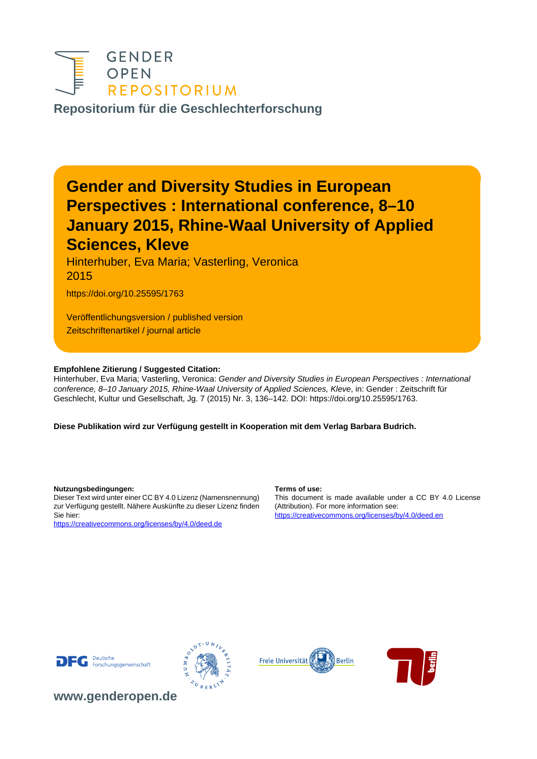

**[Repositorium für die Geschlechterforschung](https://www.genderopen.de/)**

# **Gender and Diversity Studies in European Perspectives : International conference, 8–10 January 2015, Rhine-Waal University of Applied Sciences, Kleve**

Hinterhuber, Eva Maria; Vasterling, Veronica 2015

https://doi.org/10.25595/1763

Veröffentlichungsversion / published version Zeitschriftenartikel / journal article

#### **Empfohlene Zitierung / Suggested Citation:**

Hinterhuber, Eva Maria; Vasterling, Veronica: Gender and Diversity Studies in European Perspectives : International conference, 8–10 January 2015, Rhine-Waal University of Applied Sciences, Kleve, in: Gender : Zeitschrift für Geschlecht, Kultur und Gesellschaft, Jg. 7 (2015) Nr. 3, 136–142. DOI: https://doi.org/10.25595/1763.

**Diese Publikation wird zur Verfügung gestellt in Kooperation mit dem Verlag Barbara Budrich.**

**Nutzungsbedingungen: Terms of use:**

Dieser Text wird unter einer CC BY 4.0 Lizenz (Namensnennung) zur Verfügung gestellt. Nähere Auskünfte zu dieser Lizenz finden Sie hier:

<https://creativecommons.org/licenses/by/4.0/deed.de>

This document is made available under a CC BY 4.0 License (Attribution). For more information see: <https://creativecommons.org/licenses/by/4.0/deed.en>









**[www.genderopen.de](https://www.genderopen.de)**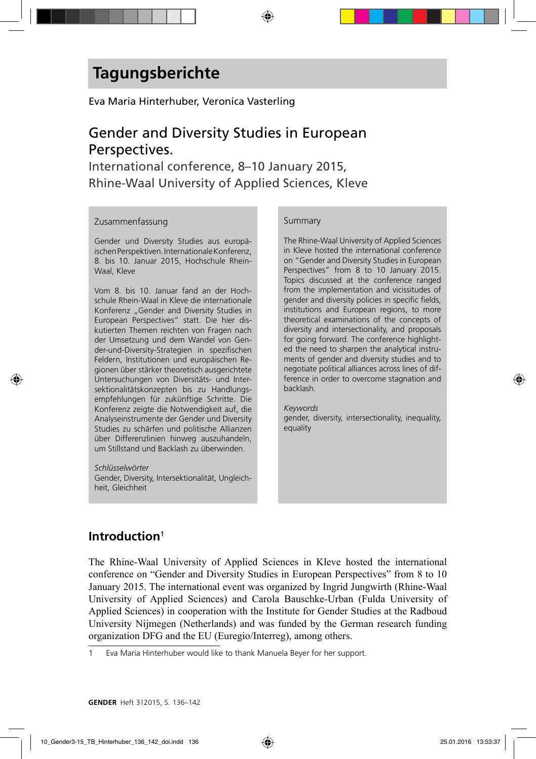#### Eva Maria Hinterhuber, Veronica Vasterling

## Gender and Diversity Studies in European Perspectives.

International conference, 8–10 January 2015, Rhine-Waal University of Applied Sciences, Kleve

#### Zusammenfassung

Gender und Diversity Studies aus europäischen Perspektiven. Internationale Konferenz, 8. bis 10. Januar 2015, Hochschule Rhein-Waal, Kleve

Vom 8. bis 10. Januar fand an der Hochschule Rhein-Waal in Kleve die internationale Konferenz "Gender and Diversity Studies in European Perspectives" statt. Die hier diskutierten Themen reichten von Fragen nach der Umsetzung und dem Wandel von Gender-und-Diversity-Strategien in spezifischen Feldern, Institutionen und europäischen Regionen über stärker theoretisch ausgerichtete Untersuchungen von Diversitäts- und Intersektionalitätskonzepten bis zu Handlungsempfehlungen für zukünftige Schritte. Die Konferenz zeigte die Notwendigkeit auf, die Analyseinstrumente der Gender und Diversity Studies zu schärfen und politische Allianzen über Differenzlinien hinweg auszuhandeln, um Stillstand und Backlash zu überwinden.

*Schlüsselwörter* Gender, Diversity, Intersektionalität, Ungleichheit, Gleichheit

#### Summary

The Rhine-Waal University of Applied Sciences in Kleve hosted the international conference on "Gender and Diversity Studies in European Perspectives" from 8 to 10 January 2015. Topics discussed at the conference ranged from the implementation and vicissitudes of gender and diversity policies in specific fields, institutions and European regions, to more theoretical examinations of the concepts of diversity and intersectionality, and proposals for going forward. The conference highlighted the need to sharpen the analytical instruments of gender and diversity studies and to negotiate political alliances across lines of difference in order to overcome stagnation and backlash.

*Keywords* gender, diversity, intersectionality, inequality, equality

### **Introduction**<sup>1</sup>

The Rhine-Waal University of Applied Sciences in Kleve hosted the international conference on "Gender and Diversity Studies in European Perspectives" from 8 to 10 January 2015. The international event was organized by Ingrid Jungwirth (Rhine-Waal University of Applied Sciences) and Carola Bauschke-Urban (Fulda University of Applied Sciences) in cooperation with the Institute for Gender Studies at the Radboud University Nijmegen (Netherlands) and was funded by the German research funding organization DFG and the EU (Euregio/Interreg), among others.

<sup>1</sup> Eva Maria Hinterhuber would like to thank Manuela Beyer for her support.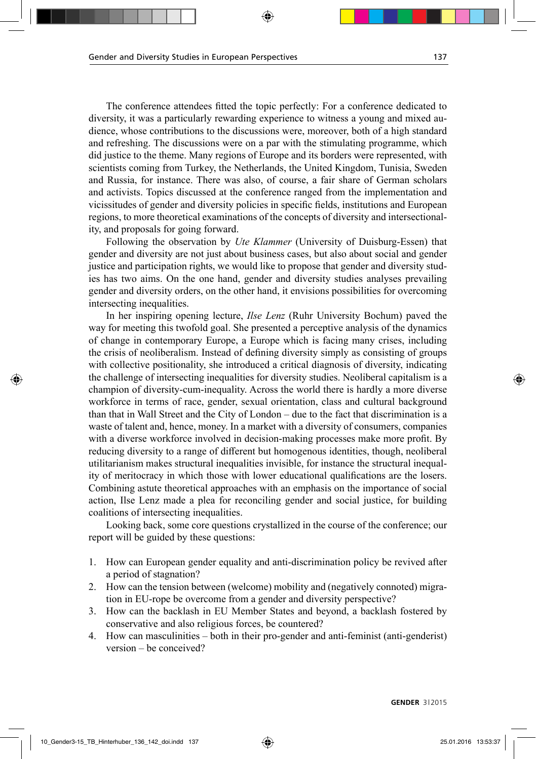The conference attendees fitted the topic perfectly: For a conference dedicated to diversity, it was a particularly rewarding experience to witness a young and mixed audience, whose contributions to the discussions were, moreover, both of a high standard and refreshing. The discussions were on a par with the stimulating programme, which did justice to the theme. Many regions of Europe and its borders were represented, with scientists coming from Turkey, the Netherlands, the United Kingdom, Tunisia, Sweden and Russia, for instance. There was also, of course, a fair share of German scholars and activists. Topics discussed at the conference ranged from the implementation and vicissitudes of gender and diversity policies in specific fields, institutions and European regions, to more theoretical examinations of the concepts of diversity and intersectionality, and proposals for going forward.

Following the observation by *Ute Klammer* (University of Duisburg-Essen) that gender and diversity are not just about business cases, but also about social and gender justice and participation rights, we would like to propose that gender and diversity studies has two aims. On the one hand, gender and diversity studies analyses prevailing gender and diversity orders, on the other hand, it envisions possibilities for overcoming intersecting inequalities.

In her inspiring opening lecture, *Ilse Lenz* (Ruhr University Bochum) paved the way for meeting this twofold goal. She presented a perceptive analysis of the dynamics of change in contemporary Europe, a Europe which is facing many crises, including the crisis of neoliberalism. Instead of defining diversity simply as consisting of groups with collective positionality, she introduced a critical diagnosis of diversity, indicating the challenge of intersecting inequalities for diversity studies. Neoliberal capitalism is a champion of diversity-cum-inequality. Across the world there is hardly a more diverse workforce in terms of race, gender, sexual orientation, class and cultural background than that in Wall Street and the City of London – due to the fact that discrimination is a waste of talent and, hence, money. In a market with a diversity of consumers, companies with a diverse workforce involved in decision-making processes make more profit. By reducing diversity to a range of different but homogenous identities, though, neoliberal utilitarianism makes structural inequalities invisible, for instance the structural inequality of meritocracy in which those with lower educational qualifications are the losers. Combining astute theoretical approaches with an emphasis on the importance of social action, Ilse Lenz made a plea for reconciling gender and social justice, for building coalitions of intersecting inequalities.

Looking back, some core questions crystallized in the course of the conference; our report will be guided by these questions:

- 1. How can European gender equality and anti-discrimination policy be revived after a period of stagnation?
- 2. How can the tension between (welcome) mobility and (negatively connoted) migration in EU-rope be overcome from a gender and diversity perspective?
- 3. How can the backlash in EU Member States and beyond, a backlash fostered by conservative and also religious forces, be countered?
- 4. How can masculinities both in their pro-gender and anti-feminist (anti-genderist) version – be conceived?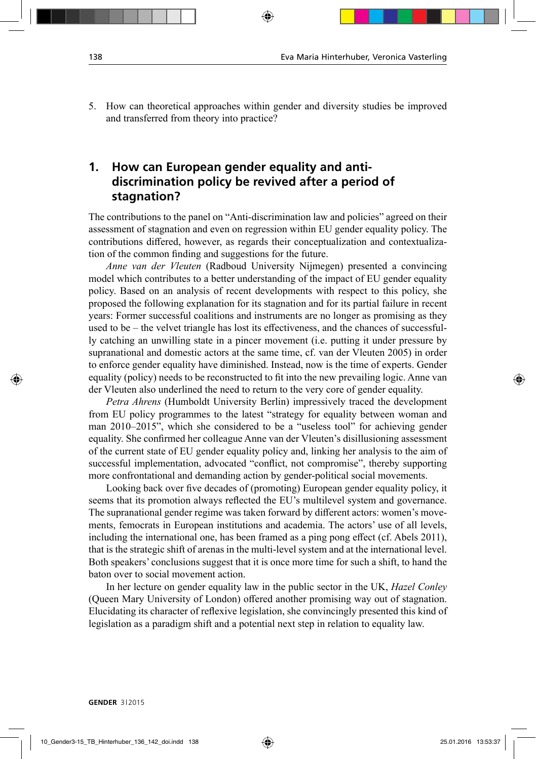5. How can theoretical approaches within gender and diversity studies be improved and transferred from theory into practice?

### **1. How can European gender equality and antidiscrimination policy be revived after a period of stagnation?**

The contributions to the panel on "Anti-discrimination law and policies" agreed on their assessment of stagnation and even on regression within EU gender equality policy. The contributions differed, however, as regards their conceptualization and contextualization of the common finding and suggestions for the future.

*Anne van der Vleuten* (Radboud University Nijmegen) presented a convincing model which contributes to a better understanding of the impact of EU gender equality policy. Based on an analysis of recent developments with respect to this policy, she proposed the following explanation for its stagnation and for its partial failure in recent years: Former successful coalitions and instruments are no longer as promising as they used to be – the velvet triangle has lost its effectiveness, and the chances of successfully catching an unwilling state in a pincer movement (i.e. putting it under pressure by supranational and domestic actors at the same time, cf. van der Vleuten 2005) in order to enforce gender equality have diminished. Instead, now is the time of experts. Gender equality (policy) needs to be reconstructed to fit into the new prevailing logic. Anne van der Vleuten also underlined the need to return to the very core of gender equality.

*Petra Ahrens* (Humboldt University Berlin) impressively traced the development from EU policy programmes to the latest "strategy for equality between woman and man 2010–2015", which she considered to be a "useless tool" for achieving gender equality. She confirmed her colleague Anne van der Vleuten's disillusioning assessment of the current state of EU gender equality policy and, linking her analysis to the aim of successful implementation, advocated "conflict, not compromise", thereby supporting more confrontational and demanding action by gender-political social movements.

Looking back over five decades of (promoting) European gender equality policy, it seems that its promotion always reflected the EU's multilevel system and governance. The supranational gender regime was taken forward by different actors: women's movements, femocrats in European institutions and academia. The actors' use of all levels, including the international one, has been framed as a ping pong effect (cf. Abels 2011), that is the strategic shift of arenas in the multi-level system and at the international level. Both speakers' conclusions suggest that it is once more time for such a shift, to hand the baton over to social movement action.

In her lecture on gender equality law in the public sector in the UK, *Hazel Conley* (Queen Mary University of London) offered another promising way out of stagnation. Elucidating its character of reflexive legislation, she convincingly presented this kind of legislation as a paradigm shift and a potential next step in relation to equality law.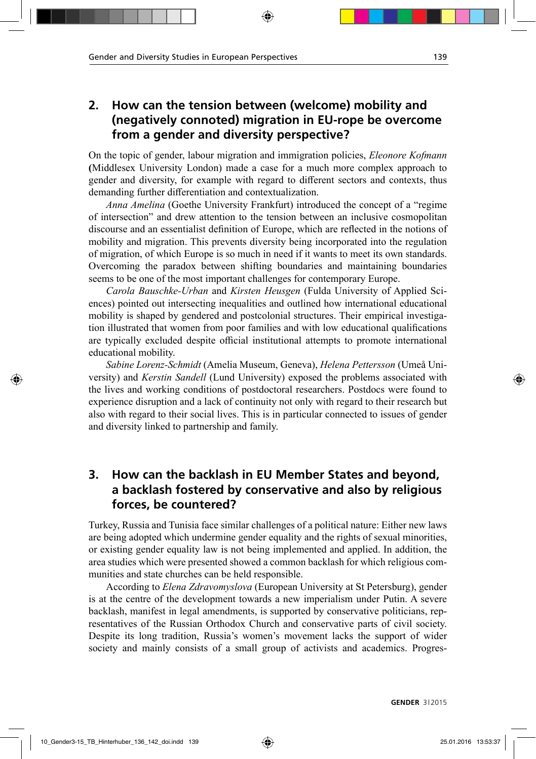### **2. How can the tension between (welcome) mobility and (negatively connoted) migration in EU-rope be overcome from a gender and diversity perspective?**

On the topic of gender, labour migration and immigration policies, *Eleonore Kofmann* **(**Middlesex University London) made a case for a much more complex approach to gender and diversity, for example with regard to different sectors and contexts, thus demanding further differentiation and contextualization.

*Anna Amelina* (Goethe University Frankfurt) introduced the concept of a "regime of intersection" and drew attention to the tension between an inclusive cosmopolitan discourse and an essentialist definition of Europe, which are reflected in the notions of mobility and migration. This prevents diversity being incorporated into the regulation of migration, of which Europe is so much in need if it wants to meet its own standards. Overcoming the paradox between shifting boundaries and maintaining boundaries seems to be one of the most important challenges for contemporary Europe.

*Carola Bauschke-Urban* and *Kirsten Heusgen* (Fulda University of Applied Sciences) pointed out intersecting inequalities and outlined how international educational mobility is shaped by gendered and postcolonial structures. Their empirical investigation illustrated that women from poor families and with low educational qualifications are typically excluded despite official institutional attempts to promote international educational mobility.

*Sabine Lorenz-Schmidt* (Amelia Museum, Geneva), *Helena Pettersson* (Umeå University) and *Kerstin Sandell* (Lund University) exposed the problems associated with the lives and working conditions of postdoctoral researchers. Postdocs were found to experience disruption and a lack of continuity not only with regard to their research but also with regard to their social lives. This is in particular connected to issues of gender and diversity linked to partnership and family.

### **3. How can the backlash in EU Member States and beyond, a backlash fostered by conservative and also by religious forces, be countered?**

Turkey, Russia and Tunisia face similar challenges of a political nature: Either new laws are being adopted which undermine gender equality and the rights of sexual minorities, or existing gender equality law is not being implemented and applied. In addition, the area studies which were presented showed a common backlash for which religious communities and state churches can be held responsible.

According to *Elena Zdravomyslova* (European University at St Petersburg), gender is at the centre of the development towards a new imperialism under Putin. A severe backlash, manifest in legal amendments, is supported by conservative politicians, representatives of the Russian Orthodox Church and conservative parts of civil society. Despite its long tradition, Russia's women's movement lacks the support of wider society and mainly consists of a small group of activists and academics. Progres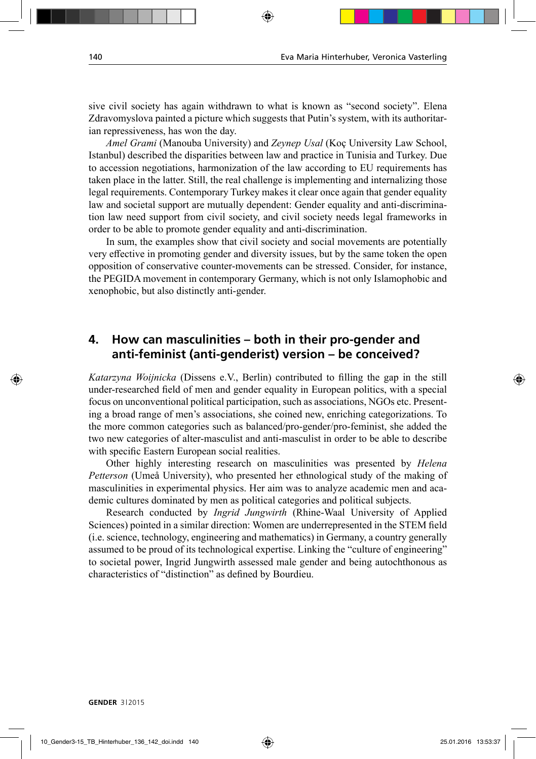sive civil society has again withdrawn to what is known as "second society". Elena Zdravomyslova painted a picture which suggests that Putin's system, with its authoritarian repressiveness, has won the day.

*Amel Grami* (Manouba University) and *Zeynep Usal* (Koç University Law School, Istanbul) described the disparities between law and practice in Tunisia and Turkey. Due to accession negotiations, harmonization of the law according to EU requirements has taken place in the latter. Still, the real challenge is implementing and internalizing those legal requirements. Contemporary Turkey makes it clear once again that gender equality law and societal support are mutually dependent: Gender equality and anti-discrimination law need support from civil society, and civil society needs legal frameworks in order to be able to promote gender equality and anti-discrimination.

In sum, the examples show that civil society and social movements are potentially very effective in promoting gender and diversity issues, but by the same token the open opposition of conservative counter-movements can be stressed. Consider, for instance, the PEGIDA movement in contemporary Germany, which is not only Islamophobic and xenophobic, but also distinctly anti-gender.

### **4. How can masculinities – both in their pro-gender and anti-feminist (anti-genderist) version – be conceived?**

*Katarzyna Woijnicka* (Dissens e.V., Berlin) contributed to filling the gap in the still under-researched field of men and gender equality in European politics, with a special focus on unconventional political participation, such as associations, NGOs etc. Presenting a broad range of men's associations, she coined new, enriching categorizations. To the more common categories such as balanced/pro-gender/pro-feminist, she added the two new categories of alter-masculist and anti-masculist in order to be able to describe with specific Eastern European social realities.

Other highly interesting research on masculinities was presented by *Helena Petterson* (Umeå University), who presented her ethnological study of the making of masculinities in experimental physics. Her aim was to analyze academic men and academic cultures dominated by men as political categories and political subjects.

Research conducted by *Ingrid Jungwirth* (Rhine-Waal University of Applied Sciences) pointed in a similar direction: Women are underrepresented in the STEM field (i.e. science, technology, engineering and mathematics) in Germany, a country generally assumed to be proud of its technological expertise. Linking the "culture of engineering" to societal power, Ingrid Jungwirth assessed male gender and being autochthonous as characteristics of "distinction" as defined by Bourdieu.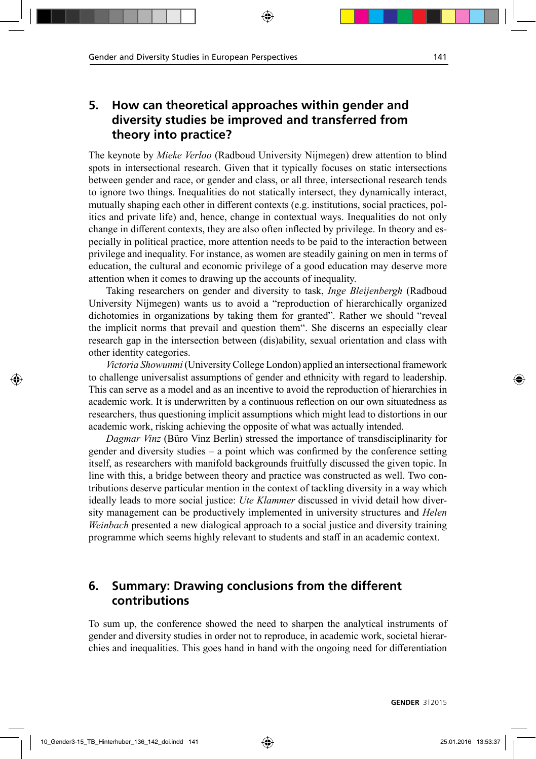### **5. How can theoretical approaches within gender and diversity studies be improved and transferred from theory into practice?**

The keynote by *Mieke Verloo* (Radboud University Nijmegen) drew attention to blind spots in intersectional research. Given that it typically focuses on static intersections between gender and race, or gender and class, or all three, intersectional research tends to ignore two things. Inequalities do not statically intersect, they dynamically interact, mutually shaping each other in different contexts (e.g. institutions, social practices, politics and private life) and, hence, change in contextual ways. Inequalities do not only change in different contexts, they are also often inflected by privilege. In theory and especially in political practice, more attention needs to be paid to the interaction between privilege and inequality. For instance, as women are steadily gaining on men in terms of education, the cultural and economic privilege of a good education may deserve more attention when it comes to drawing up the accounts of inequality.

Taking researchers on gender and diversity to task, *Inge Bleijenbergh* (Radboud University Nijmegen) wants us to avoid a "reproduction of hierarchically organized dichotomies in organizations by taking them for granted". Rather we should "reveal the implicit norms that prevail and question them". She discerns an especially clear research gap in the intersection between (dis)ability, sexual orientation and class with other identity categories.

*Victoria Showunmi* (University College London) applied an intersectional framework to challenge universalist assumptions of gender and ethnicity with regard to leadership. This can serve as a model and as an incentive to avoid the reproduction of hierarchies in academic work. It is underwritten by a continuous reflection on our own situatedness as researchers, thus questioning implicit assumptions which might lead to distortions in our academic work, risking achieving the opposite of what was actually intended.

*Dagmar Vinz* (Büro Vinz Berlin) stressed the importance of transdisciplinarity for gender and diversity studies – a point which was confirmed by the conference setting itself, as researchers with manifold backgrounds fruitfully discussed the given topic. In line with this, a bridge between theory and practice was constructed as well. Two contributions deserve particular mention in the context of tackling diversity in a way which ideally leads to more social justice: *Ute Klammer* discussed in vivid detail how diversity management can be productively implemented in university structures and *Helen Weinbach* presented a new dialogical approach to a social justice and diversity training programme which seems highly relevant to students and staff in an academic context.

### **6. Summary: Drawing conclusions from the different contributions**

To sum up, the conference showed the need to sharpen the analytical instruments of gender and diversity studies in order not to reproduce, in academic work, societal hierarchies and inequalities. This goes hand in hand with the ongoing need for differentiation